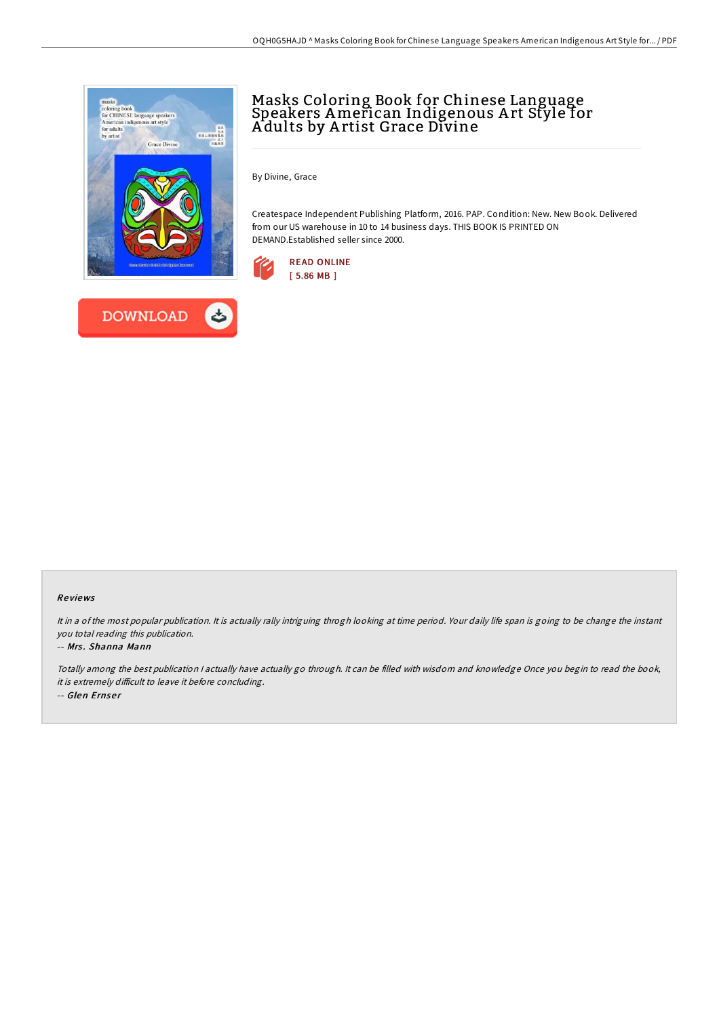

## Masks Coloring Book for Chinese Language Speakers American Indigenous A rt Style for A dults by A rtist Grace Divine

By Divine, Grace

Createspace Independent Publishing Platform, 2016. PAP. Condition: New. New Book. Delivered from our US warehouse in 10 to 14 business days. THIS BOOK IS PRINTED ON DEMAND.Established seller since 2000.



## Re views

It in <sup>a</sup> of the most popular publication. It is actually rally intriguing throgh looking at time period. Your daily life span is going to be change the instant you total reading this publication.

## -- Mrs. Shanna Mann

Totally among the best publication <sup>I</sup> actually have actually go through. It can be filled with wisdom and knowledge Once you begin to read the book, it is extremely difficult to leave it before concluding. -- Glen Ernse <sup>r</sup>